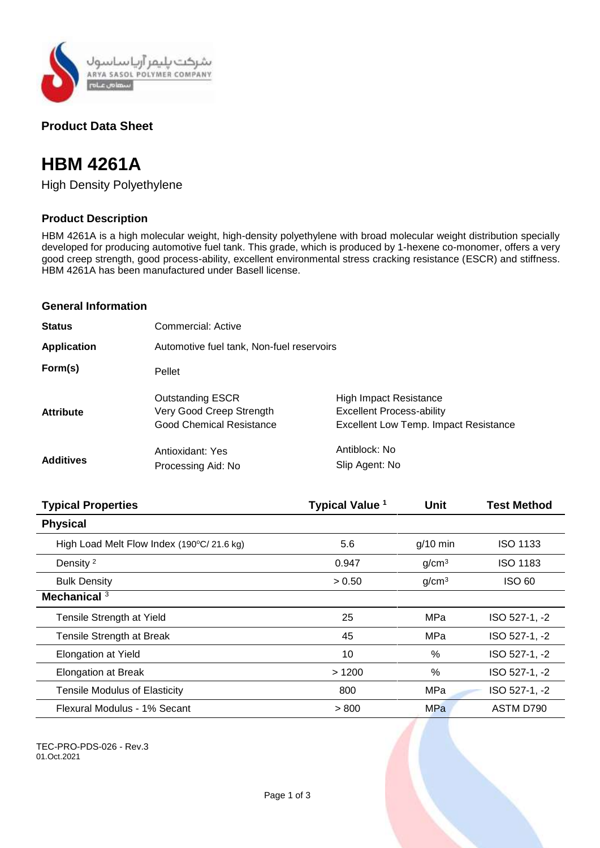

## **Product Data Sheet**

# **HBM 4261A**

High Density Polyethylene

## **Product Description**

HBM 4261A is a high molecular weight, high-density polyethylene with broad molecular weight distribution specially developed for producing automotive fuel tank. This grade, which is produced by 1-hexene co-monomer, offers a very good creep strength, good process-ability, excellent environmental stress cracking resistance (ESCR) and stiffness. HBM 4261A has been manufactured under Basell license.

#### **General Information**

| <b>Status</b>      | Commercial: Active                                                                     |                                                                                                                   |  |
|--------------------|----------------------------------------------------------------------------------------|-------------------------------------------------------------------------------------------------------------------|--|
| <b>Application</b> | Automotive fuel tank, Non-fuel reservoirs                                              |                                                                                                                   |  |
| Form(s)            | Pellet                                                                                 |                                                                                                                   |  |
| <b>Attribute</b>   | <b>Outstanding ESCR</b><br>Very Good Creep Strength<br><b>Good Chemical Resistance</b> | <b>High Impact Resistance</b><br><b>Excellent Process-ability</b><br><b>Excellent Low Temp. Impact Resistance</b> |  |
| <b>Additives</b>   | Antioxidant: Yes<br>Processing Aid: No                                                 | Antiblock: No<br>Slip Agent: No                                                                                   |  |

| <b>Typical Properties</b>                 | Typical Value <sup>1</sup> | <b>Unit</b>       | <b>Test Method</b> |
|-------------------------------------------|----------------------------|-------------------|--------------------|
| <b>Physical</b>                           |                            |                   |                    |
| High Load Melt Flow Index (190°C/21.6 kg) | 5.6                        | $g/10$ min        | <b>ISO 1133</b>    |
| Density <sup>2</sup>                      | 0.947                      | g/cm <sup>3</sup> | <b>ISO 1183</b>    |
| <b>Bulk Density</b>                       | > 0.50                     | g/cm <sup>3</sup> | <b>ISO 60</b>      |
| Mechanical $3$                            |                            |                   |                    |
| Tensile Strength at Yield                 | 25                         | MPa               | ISO 527-1, -2      |
| Tensile Strength at Break                 | 45                         | MPa               | ISO 527-1, -2      |
| <b>Elongation at Yield</b>                | 10                         | $\%$              | ISO 527-1, -2      |
| <b>Elongation at Break</b>                | >1200                      | %                 | ISO 527-1, -2      |
| <b>Tensile Modulus of Elasticity</b>      | 800                        | MPa               | ISO 527-1, -2      |
| Flexural Modulus - 1% Secant              | > 800                      | MPa               | ASTM D790          |

TEC-PRO-PDS-026 - Rev.3 01.Oct.2021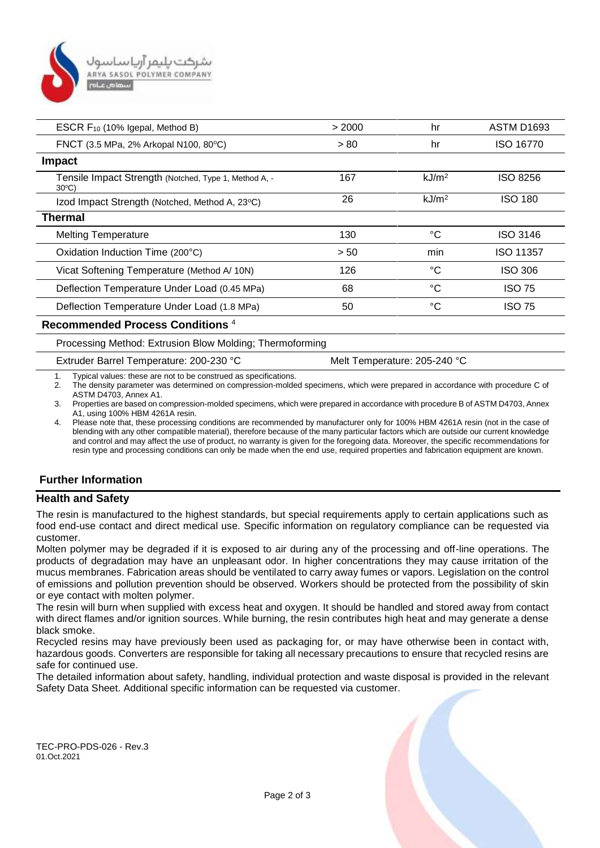

| ESCR F <sub>10</sub> (10% Igepal, Method B)                              | > 2000 | hr                | <b>ASTM D1693</b> |
|--------------------------------------------------------------------------|--------|-------------------|-------------------|
| FNCT (3.5 MPa, 2% Arkopal N100, 80°C)                                    | > 80   | hr                | <b>ISO 16770</b>  |
| <b>Impact</b>                                                            |        |                   |                   |
| Tensile Impact Strength (Notched, Type 1, Method A, -<br>$30^{\circ}$ C) | 167    | kJ/m <sup>2</sup> | <b>ISO 8256</b>   |
| Izod Impact Strength (Notched, Method A, 23°C)                           | 26     | kJ/m <sup>2</sup> | <b>ISO 180</b>    |
| <b>Thermal</b>                                                           |        |                   |                   |
| <b>Melting Temperature</b>                                               | 130    | °C                | ISO 3146          |
| Oxidation Induction Time (200°C)                                         | > 50   | min               | <b>ISO 11357</b>  |
| Vicat Softening Temperature (Method A/10N)                               | 126    | °C                | <b>ISO 306</b>    |
| Deflection Temperature Under Load (0.45 MPa)                             | 68     | °C                | <b>ISO 75</b>     |
| Deflection Temperature Under Load (1.8 MPa)                              | 50     | °C                | <b>ISO 75</b>     |
| Recommended Process Conditions <sup>4</sup>                              |        |                   |                   |

#### Processing Method: Extrusion Blow Molding; Thermoforming

Extruder Barrel Temperature: 200-230 °C Melt Temperature: 205-240 °C

1. Typical values: these are not to be construed as specifications.

2. The density parameter was determined on compression-molded specimens, which were prepared in accordance with procedure C of ASTM D4703, Annex A1.

3. Properties are based on compression-molded specimens, which were prepared in accordance with procedure B of ASTM D4703, Annex A1, using 100% HBM 4261A resin.

4. Please note that, these processing conditions are recommended by manufacturer only for 100% HBM 4261A resin (not in the case of blending with any other compatible material), therefore because of the many particular factors which are outside our current knowledge and control and may affect the use of product, no warranty is given for the foregoing data. Moreover, the specific recommendations for resin type and processing conditions can only be made when the end use, required properties and fabrication equipment are known.

#### **Further Information**

#### **Health and Safety**

The resin is manufactured to the highest standards, but special requirements apply to certain applications such as food end-use contact and direct medical use. Specific information on regulatory compliance can be requested via customer.

Molten polymer may be degraded if it is exposed to air during any of the processing and off-line operations. The products of degradation may have an unpleasant odor. In higher concentrations they may cause irritation of the mucus membranes. Fabrication areas should be ventilated to carry away fumes or vapors. Legislation on the control of emissions and pollution prevention should be observed. Workers should be protected from the possibility of skin or eye contact with molten polymer.

The resin will burn when supplied with excess heat and oxygen. It should be handled and stored away from contact with direct flames and/or ignition sources. While burning, the resin contributes high heat and may generate a dense black smoke.

Recycled resins may have previously been used as packaging for, or may have otherwise been in contact with, hazardous goods. Converters are responsible for taking all necessary precautions to ensure that recycled resins are safe for continued use.

The detailed information about safety, handling, individual protection and waste disposal is provided in the relevant Safety Data Sheet. Additional specific information can be requested via customer.